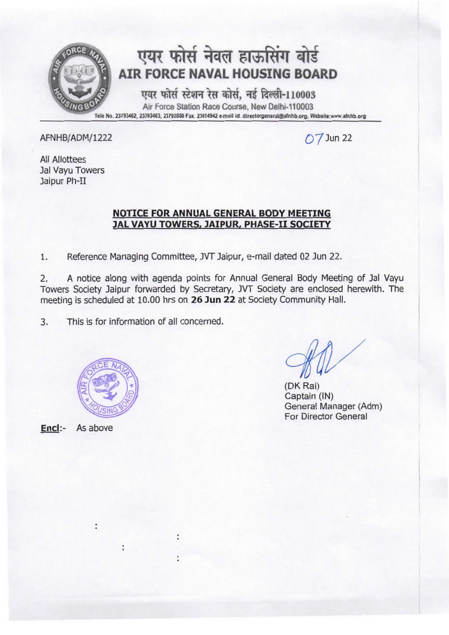

 $\overline{O7}$ Jun 22

All Allottees Jal Vayu Towers Jaipur Ph-II

### **NOTICE FOR ANNUAL GENERAL BODY MEETING JAL VAYU TOWERS, JAIPUR, PHASE-II SOCIETY**

1. Reference Managing Committee, JVT Jaipur, e-mail dated 02 Jun 22.

2. A notice along with agenda points for Annual General Body Meeting of Jal Vayu Towers Society Jaipur forwarded by Secretary, JVT Society are enclosed herewith. The meeting is scheduled at 10.00 hrs on **26 Jun 22** at Society Community Hall.

3. This is for information of all concerned.



 $\ddot{\phantom{a}}$ 

 $\ddot{\phantom{0}}$ 

**Encl:-** As above

(OK Rai) Captain (IN) General Manager (Adm) For Director General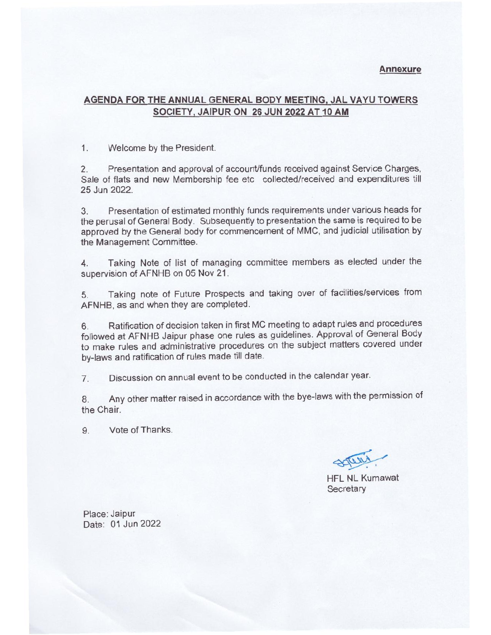#### **Annexure**

#### **AGENDA FOR THE ANNUAL GENERAL BODY MEETING, JAL VA YU TOWERS SOCIETY, JAIPUR ON 26 JUN 2022 AT 10 AM**

1. Welcome by the President.

2. Presentation and approval of account/funds received against Service Charges, Sale of flats and new Membership fee etc collected/received and expenditures till 25 Jun 2022.

3. Presentation of estimated monthly funds requirements under various heads for the perusal of General Body. Subsequently to presentation the same is required to be approved by the General body for commencement of MMC, and judicial utilisation by the Management Committee.

4. Taking Note of list of managing committee members as elected under the supervision of AFNHB on 05 Nov 21.

5. Taking note of Future Prospects and taking over of facilities/services from AFNHB, as and when they are completed.

6. Ratification of decision taken in first MC meeting to adapt rules and procedures followed at AFNHB Jaipur phase one rules as guidelines. Approval of General Body to make rules and administrative procedures on the subject matters covered under by-laws and ratification of rules made till date.

7. Discussion on annual event to be conducted in the calendar year.

8. Any other matter raised in accordance with the bye-laws with the permission of the Chair.

9. Vote of Thanks.

~

HFL NL Kumawat **Secretary** 

Place: Jaipur Date: 01 Jun 2022